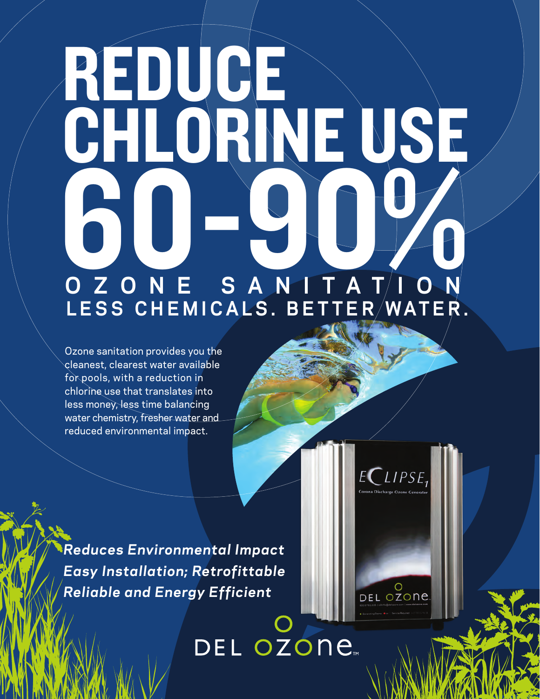## **O Z O N E S A N I T A T I O N LESS CHEMICALS. BETTER WATER.** REDUCE CHLORINE USE 600-900

Ozone sanitation provides you the cleanest, clearest water available for pools, with a reduction in chlorine use that translates into less money, less time balancing water chemistry, fresher water and reduced environmental impact.

*Reduces Environmental Impact Easy Installation; Retrofittable Reliable and Energy Efficient*

DEL OZONE

ECLIPSE

O<br>DEL OZONE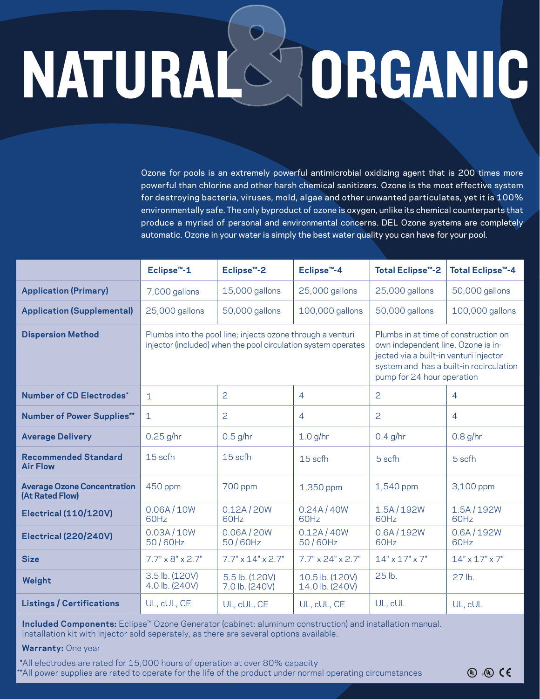# NATURAL ORGANIC

Ozone for pools is an extremely powerful antimicrobial oxidizing agent that is 200 times more powerful than chlorine and other harsh chemical sanitizers. Ozone is the most effective system for destroying bacteria, viruses, mold, algae and other unwanted particulates, yet it is 100% environmentally safe. The only byproduct of ozone is oxygen, unlike its chemical counterparts that produce a myriad of personal and environmental concerns. DEL Ozone systems are completely automatic. Ozone in your water is simply the best water quality you can have for your pool.

|                                                       | Eclipse <sup>™-1</sup>                                                                                                      | Eclipse <sup>™</sup> -2          | Eclipse <sup>™-4</sup>             | Total Eclipse <sup>™</sup> -2                                                                                                                                                                 | Total Eclipse <sup>™</sup> -4 |
|-------------------------------------------------------|-----------------------------------------------------------------------------------------------------------------------------|----------------------------------|------------------------------------|-----------------------------------------------------------------------------------------------------------------------------------------------------------------------------------------------|-------------------------------|
| <b>Application (Primary)</b>                          | 7,000 gallons                                                                                                               | 15,000 gallons                   | 25,000 gallons                     | 25,000 gallons                                                                                                                                                                                | 50,000 gallons                |
| <b>Application (Supplemental)</b>                     | 25,000 gallons                                                                                                              | 50,000 gallons                   | 100,000 gallons                    | 50,000 gallons                                                                                                                                                                                | 100,000 gallons               |
| <b>Dispersion Method</b>                              | Plumbs into the pool line; injects ozone through a venturi<br>injector (included) when the pool circulation system operates |                                  |                                    | Plumbs in at time of construction on<br>own independent line. Ozone is in-<br>jected via a built-in venturi injector<br>system and has a built-in recirculation<br>pump for 24 hour operation |                               |
| Number of CD Electrodes*                              | $\mathbf{1}$                                                                                                                | 2                                | 4                                  | $\overline{c}$                                                                                                                                                                                | $\overline{4}$                |
| <b>Number of Power Supplies**</b>                     | $\mathbf{1}$                                                                                                                | $\overline{c}$                   | 4                                  | $\overline{c}$                                                                                                                                                                                | 4                             |
| <b>Average Delivery</b>                               | $0.25$ g/hr                                                                                                                 | $0.5$ g/hr                       | $1.0$ g/hr                         | $0.4$ g/hr                                                                                                                                                                                    | $0.8$ g/hr                    |
| <b>Recommended Standard</b><br><b>Air Flow</b>        | 15 scfh                                                                                                                     | 15 scfh                          | 15 scfh                            | 5 scfh                                                                                                                                                                                        | 5 scfh                        |
| <b>Average Ozone Concentration</b><br>(At Rated Flow) | 450 ppm                                                                                                                     | 700 ppm                          | 1,350 ppm                          | 1,540 ppm                                                                                                                                                                                     | 3,100 ppm                     |
| <b>Electrical (110/120V)</b>                          | 0.06A/10W<br>60Hz                                                                                                           | 0.12A/20W<br>60Hz                | 0.24A/40W<br>60Hz                  | 1.5A/192W<br>60Hz                                                                                                                                                                             | 1.5A/192W<br>60Hz             |
| Electrical (220/240V)                                 | 0.03A/10W<br>50/60Hz                                                                                                        | 0.06A / 20W<br>50/60Hz           | 0.12A/40W<br>50/60Hz               | 0.6A/192W<br>60Hz                                                                                                                                                                             | 0.6A/192W<br>60Hz             |
| <b>Size</b>                                           | $7.7" \times 8" \times 2.7"$                                                                                                | $7.7" \times 14" \times 2.7"$    | $7.7" \times 24" \times 2.7"$      | $14" \times 17" \times 7"$                                                                                                                                                                    | $14'' \times 17'' \times 7''$ |
| Weight                                                | 3.5 lb. (120V)<br>4.0 lb. (240V)                                                                                            | 5.5 lb. (120V)<br>7.0 lb. (240V) | 10.5 lb. (120V)<br>14.0 lb. (240V) | 25 lb.                                                                                                                                                                                        | $27$ lb.                      |
| <b>Listings / Certifications</b>                      | UL, cUL, CE                                                                                                                 | UL, cUL, CE                      | UL, cUL, CE                        | UL, cUL                                                                                                                                                                                       | UL, cUL                       |

 **Included Components:** Eclipse™ Ozone Generator (cabinet: aluminum construction) and installation manual. Installation kit with injector sold seperately, as there are several options available.

#### **Warranty:** One year

\*All electrodes are rated for 15,000 hours of operation at over 80% capacity \*All power supplies are rated to operate for the life of the product under normal operating circumstances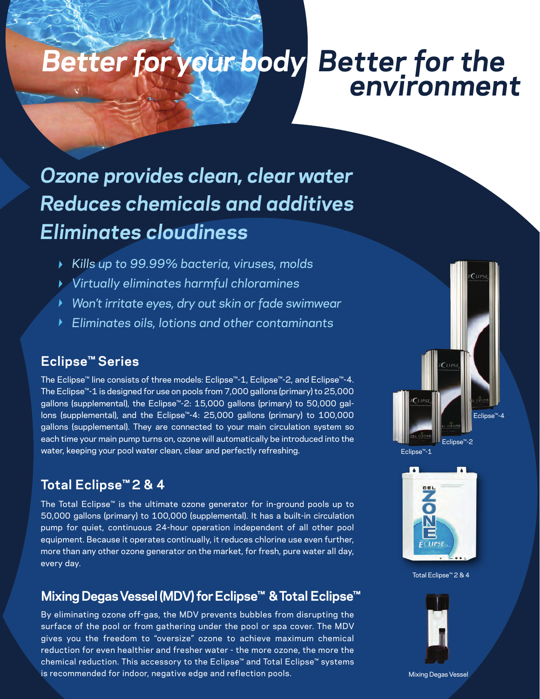## *Better for the environment Better for your body*

### *Ozone provides clean, clear water Reduces chemicals and additives Eliminates cloudiness*

- *Kills up to 99.99% bacteria, viruses, molds*
- *Virtually eliminates harmful chloramines*
- *Won't irritate eyes, dry out skin or fade swimwear*
- *Eliminates oils, lotions and other contaminants*

#### **Eclipse™ Series**

The Eclipse™ line consists of three models: Eclipse™-1, Eclipse™-2, and Eclipse™-4. The Eclipse™-1 is designed for use on pools from 7,000 gallons (primary) to 25,000 gallons (supplemental), the Eclipse<sup>™</sup>-2: 15,000 gallons (primary) to 50,000 gallons (supplemental), and the Eclipse™-4: 25,000 gallons (primary) to 100,000 gallons (supplemental). They are connected to your main circulation system so each time your main pump turns on, ozone will automatically be introduced into the water, keeping your pool water clean, clear and perfectly refreshing.

#### **Total Eclipse™ 2 & 4**

The Total Eclipse™ is the ultimate ozone generator for in-ground pools up to 50,000 gallons (primary) to 100,000 (supplemental). It has a built-in circulation pump for quiet, continuous 24-hour operation independent of all other pool equipment. Because it operates continually, it reduces chlorine use even further, more than any other ozone generator on the market, for fresh, pure water all day, every day.

#### **Mixing Degas Vessel (MDV) for Eclipse™ & Total Eclipse ™**

By eliminating ozone off-gas, the MDV prevents bubbles from disrupting the surface of the pool or from gathering under the pool or spa cover. The MDV gives you the freedom to "oversize" ozone to achieve maximum chemical reduction for even healthier and fresher water - the more ozone, the more the chemical reduction. This accessory to the Eclipse™ and Total Eclipse™ systems is recommended for indoor, negative edge and reflection pools.









Total Eclipse™ 2 & 4



Mixing Degas Vessel